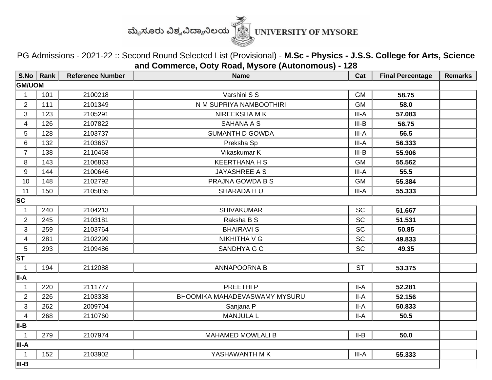

PG Admissions - 2021-22 :: Second Round Selected List (Provisional) - **M.Sc - Physics - J.S.S. College for Arts, Science and Commerce, Ooty Road, Mysore (Autonomous) - 128**

|                | $S.No \mid Rank$ | <b>Reference Number</b> | <b>Name</b>                   | Cat       | <b>Final Percentage</b> | <b>Remarks</b> |  |  |
|----------------|------------------|-------------------------|-------------------------------|-----------|-------------------------|----------------|--|--|
| <b>GM/UOM</b>  |                  |                         |                               |           |                         |                |  |  |
| 1              | 101              | 2100218                 | Varshini S S                  | <b>GM</b> | 58.75                   |                |  |  |
| $\overline{2}$ | 111              | 2101349                 | N M SUPRIYA NAMBOOTHIRI       | <b>GM</b> | 58.0                    |                |  |  |
| 3              | 123              | 2105291                 | NIREEKSHA M K                 | III-A     | 57.083                  |                |  |  |
| 4              | 126              | 2107822                 | <b>SAHANA A S</b>             | $III-B$   | 56.75                   |                |  |  |
| 5              | 128              | 2103737                 | <b>SUMANTH D GOWDA</b>        | III-A     | 56.5                    |                |  |  |
| 6              | 132              | 2103667                 | Preksha Sp                    | III-A     | 56.333                  |                |  |  |
| $\overline{7}$ | 138              | 2110468                 | Vikaskumar K                  | $III-B$   | 55.906                  |                |  |  |
| 8              | 143              | 2106863                 | <b>KEERTHANA H S</b>          | <b>GM</b> | 55.562                  |                |  |  |
| 9              | 144              | 2100646                 | <b>JAYASHREE A S</b>          | III-A     | 55.5                    |                |  |  |
| 10             | 148              | 2102792                 | PRAJNA GOWDA B S              | <b>GM</b> | 55.384                  |                |  |  |
| 11             | 150              | 2105855                 | SHARADA HU                    | III-A     | 55.333                  |                |  |  |
| <b>SC</b>      |                  |                         |                               |           |                         |                |  |  |
| 1              | 240              | 2104213                 | <b>SHIVAKUMAR</b>             | SC        | 51.667                  |                |  |  |
| $\overline{2}$ | 245              | 2103181                 | Raksha B S                    | <b>SC</b> | 51.531                  |                |  |  |
| 3              | 259              | 2103764                 | <b>BHAIRAVI S</b>             | SC        | 50.85                   |                |  |  |
| 4              | 281              | 2102299                 | <b>NIKHITHA V G</b>           | <b>SC</b> | 49.833                  |                |  |  |
| 5              | 293              | 2109486                 | SANDHYA G C                   | <b>SC</b> | 49.35                   |                |  |  |
| <b>ST</b>      |                  |                         |                               |           |                         |                |  |  |
| $\mathbf{1}$   | 194              | 2112088                 | <b>ANNAPOORNA B</b>           | <b>ST</b> | 53.375                  |                |  |  |
| ∣II-A          |                  |                         |                               |           |                         |                |  |  |
| $\mathbf 1$    | 220              | 2111777                 | PREETHI <sub>P</sub>          | II-A      | 52.281                  |                |  |  |
| $\overline{2}$ | 226              | 2103338                 | BHOOMIKA MAHADEVASWAMY MYSURU | $II-A$    | 52.156                  |                |  |  |
| 3              | 262              | 2009704                 | Sanjana P                     | $II-A$    | 50.833                  |                |  |  |
| $\overline{4}$ | 268              | 2110760                 | <b>MANJULA L</b>              | $II-A$    | 50.5                    |                |  |  |
| II-B           |                  |                         |                               |           |                         |                |  |  |
| $\mathbf 1$    | 279              | 2107974                 | <b>MAHAMED MOWLALI B</b>      | $II-B$    | 50.0                    |                |  |  |
| III-A          |                  |                         |                               |           |                         |                |  |  |
| 1              | 152              | 2103902                 | YASHAWANTH M K                | III-A     | 55.333                  |                |  |  |
| III-B          |                  |                         |                               |           |                         |                |  |  |